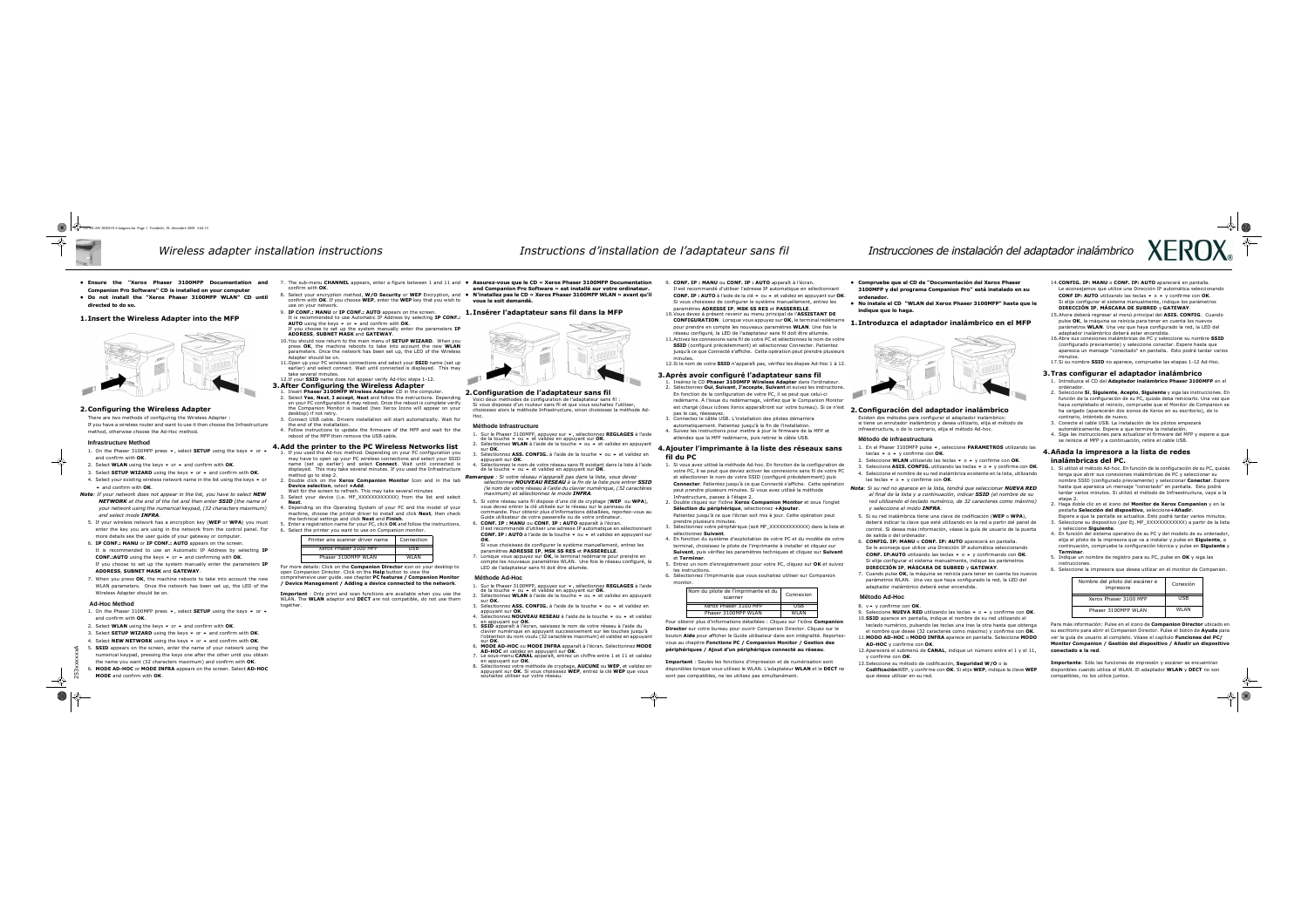- Ensure the "Xerox Phaser 3100MFP Documentation and Companion Pro Software" CD is installed on your computer
- Do not install the "Xerox Phaser 3100MFP WLAN" CD until directed to do so.

#### 1.Insert the Wireless Adapter into the MFP



#### 2.Configuring the Wireless Adapter

 There are two methods of configuring the Wireless Adapter : If you have a wireless router and want to use it then choose the Infrastructuremethod, otherwise choose the Ad-Hoc method.

#### **Infrastructure Method**

- 1. On the Phaser 3100MFP press  $\bullet$ , select **SETUP** using the keys  $\bullet$  or  $\bullet$ and confirm with OK.
- 2. Select **WLAN** using the keys  $\bullet$  or  $\bullet$  and confirm with **OK**.
- 3. Select **SETUP WIZARD** using the keys  $\bullet$  or  $\bullet$  and confirm with **OK**.
- 4. Select your existing wireless network name in the list using the keys  $\bullet$  or  $\blacktriangle$  and confirm with **OK**.
- Note: If your network does not appear in the list, you have to select NEW NETWORK at the end of the list and then enter SSID (the name of your network using the numerical keypad, (32 characters maximum) and select mode **INFRA**.
- 5. If your wireless network has a encryption key (WEP or WPA) you must enter the key you are using in the network from the control panel. Formore details see the user guide of your gateway or computer.
- 6. IP CONF.: MANU or IP CONF.: AUTO appears on the screen. It is recommended to use an Automatic IP Address by selecting IP **CONF.:AUTO** using the keys  $\blacktriangledown$  or  $\blacktriangle$  and confirming with **OK**.

If you choose to set up the system manually enter the parameters **IP** ADDRESS, SUBNET MASK and GATEWAY.

7. When you press  $OK$ , the machine reboots to take into account the new WLAN parameters. Once the network has been set up, the LED of theWireless Adapter should be on.

- 1. On the Phaser 3100MFP press  $\bullet$ , select **SETUP** using the keys  $\bullet$  or  $\bullet$ and confirm with OK.
- 2. Select **WLAN** using the keys  $\bullet$  or  $\bullet$  and confirm with **OK**.
- 3. Select **SETUP WIZARD** using the keys  $\bullet$  or  $\bullet$  and confirm with **OK.**
- 4. Select **NEW NETWORK** using the keys ▼ or ▲ and confirm with **OK**.<br>-
- 5. SSID appears on the screen, enter the name of your network using the numerical keypad, pressing the keys one after the other until you obtainthe name you want (32 characters maximum) and confirm with OK.
- 6. MODE AD-HOC or MODE INFRA appears on the screen. Select AD-HOCMODE and confirm with OK.

#### **Ad-Hoc Method**

- 7. The sub-menu CHANNEL appears, enter a figure between 1 and 11 and Assurez-vous que le CD « Xerox Phaser 3100MFP Documentation<br>Confirm with OK. end on the sur votre ordinateur confirm with OK.
- 8. Select your encryption method, W/O Security or WEP Encryption, and N'installez pas le CD « Xerox Phaser 3100MFP WLAN » avant qu'il<br>confirm with OK. If you choose WEP, enter the WEP key that you wish to sours le soit d confirm with OK. If you choose WEP, enter the WEP key that you wish to use on your network.
- 9. **IP CONF.: MANU** or **IP CONF.: AUTO** appears on the screen. It is recommended to use Automatic IP Address by selecting IP CONF.: **AUTO** using the keys  $\blacktriangledown$  or  $\blacktriangle$  and confirm with **OK**. If you choose to set up the system manually enter the parameters IP
- ADDRESS, SUBNET MASK and GATEWAY.10.You should now return to the main menu of **SETUP WIZARD**. When you press OK, the machine reboots to take into account the new WLAN parameters. Once the network has been set up, the LED of the Wireless
- Adapter should be on.11.Open up your PC wireless connections and select your **SSID** name (set up earlier) and select connect. Wait until connected is displayed. This maytake several minutes.
- 12.If your **SSID** name does not appear verify Ad-Hoc steps 1-12.
- 3.After Configuring the Wireless Adapter
- 1. Insert Phaser 3100MFP Wireless Adapter CD in the computer.<br>2. Select Ves, Next, I accent, Next and follow the instructions. De 2. Select Yes, Next, I accept, Next and follow the instructions. Depending on your PC configuration it may reboot. Once the reboot is complete verify the Companion Monitor is loaded (two Xerox Icons will appear on yourdesktop) if not retry.
- 3. Connect USB cable. Drivers installation will start automatically. Wait for the end of the installation.
- 4. Follow instructions to update the firmware of the MFP and wait for the report of the MFP then remove the USB cable reboot of the MFP then remove the USB cable.

For more details: Click on the **Companion Director** icon on your desktop to open Companion Director. Click on the Help button to view the comprehensive user guide. see chapter PC features / Companion Monitor / Device Management / Adding a device connected to the network.

Important : Only print and scan functions are available when you use the WLAN. The WLAN adaptor and DECT are not compatible, do not use them together.

Si votre réseau sans fil dispose d'une clé de cryptage (WEP ou WPA), vous devez entrer la clé utilisée sur le réseau sur le panneau de

Il est recommandé d'utiliser une adresse IP automatique en sélectionnant **CONF. IP : AUTO** à l'aide de la touche  $\bullet$  ou  $\bullet$  et validez en appuyant sur

- 
- 2. Sélectionnez WLAN à l'aide de la touche  $\bullet$  ou  $\bullet$  et validez en appuyant sur OK sur **OK**.
- appuyant sur OK.
- 
- 
- 
- . CONF. IP : MANU ou CONF. IP : AUTO apparaît à l'écran. 6.OK.

7. Lorsque vous appuyez sur **OK**, le terminal redémarre pour prendre en<br>compte les nouveaux paramètres WLAN. Une fois le réseau configuré compte les nouveaux paramètres WLAN. Une fois le réseau configuré, la

1. Sur le Phaser 3100MFP, appuyez sur  $\bullet$ , sélectionnez **REGLAGES** à l'aide de la touche  $\bullet$  ou  $\bullet$  et validez en appuyant sur **OK**. de la touche  $\blacktriangledown$  ou  $\blacktriangle$  et validez en appuyant sur **OK**.

2. Sélectionnez WLAN à l'aide de la touche  $\bullet$  ou  $\bullet$  et validez en appuyant sur OK

3. Sélectionnez ASS. CONFIG. à l'aide de la touche ▼ ou ▲ et validez en annuvant sur OK

4. Sélectionnez **NOUVEAU RESEAU** à l'aide de la touche  $\bullet$  ou  $\bullet$  et validez en appuyant sur **OK** 

#### 4.Add the printer to the PC Wireless Networks list

Sélectionnez votre méthode de cryptage. AUCUNE ou WEP, et validez en 8. Sélectionnez votre méthode de cryptage, AUCUNE ou WEP, et validez en appuyant sur OK. Si vous choisissez WEP, entrez la clé WEP que vous

- 1. If you used the Ad-hoc method. Depending on your PC configuration you may have to open up your PC wireless connections and select your SSIDname (set up earlier) and select **Connect**. Wait until connected is displayed. This may take several minutes. If you used the Infrastructuremethod go to step 2.
- 2. Double click on the **Xerox Companion Monitor** Icon and in the tab<br>**Device selection** select +Add Device selection, select +Add.
- Wait for the screen to refresh. This may take several minutes
- 3. Select your device (i.e. MF\_XXXXXXXXXXXX) from the list and select **Next** Next.
- 4. Depending on the Operating System of your PC and the model of your machine, choose the printer driver to install and click **Next**, then check machine, choose the printer driver to install and click **Next**, then check the technical settings and click **Next** and Finish.
- 
- 6. Select the printer you want to use on Companion monitor.
- 9. CONF. IP : MANU ou CONF. IP : AUTO apparaît à l'écran.
- Il est recommandé d'utiliser l'adresse IP automatique en sélectionnant CONF. IP : AUTO à l'aide de la clé v ou A et validez en appuyant sur OK. Si vous choisissez de configurer le système manuellement, entrez les paramètres ADRESSE IP, MSK SS RES et PASSERELLE.
- 10. Vous devez à présent revenir au menu principal de l'ASSISTANT DE CONFIGURATION. Lorsque vous appuyez sur OK, le terminal redémarre pour prendre en compte les nouveaux paramètres **WLAN**. Une fois le réseau configuré, la LED de l'adaptateur sans fil doit être allumée.
- 11.Activez les connexions sans fil de votre PC et sélectionnez le nom de votre SSID (configuré précédemment) et sélectionnez Connecter. Patientez jusqu'à ce que Connecté s'affiche. Cette opération peut prendre plusieurs minutes.

12.Si le nom de votre SSID n'apparaît pas, vérifiez les étapes Ad-Hoc 1 à 12.



- 1. Insérez le CD **Phaser 3100MFP Wireless Adapter** dans l'ordinateur.<br>2. Sélectionnez **Qui, Suivant, l'accente, Suivant** et suivez les instruction 2. Sélectionnez **Qui, Suivant, J'accepte, Suivant** et suivez les instructions. En fonction de la configuration de votre PC, il se peut que celui-ci redémarre. À l'issue du redémarrage, vérifiez que le Companion Monitor est chargé (deux icônes Xerox apparaîtront sur votre bureau). Si ce n'est pas le cas, réessayez.
- 3. Connectez le câble USB. L'installation des pilotes démarrera automatiquement. Patientez jusqu'à la fin de l'installation.
- 4. Suivez les instructions pour mettre à jour le firmware de la MFP et<br>extender aux la MFP redéments puis retirer le cêt le USP attendez que la MFP redémarre, puis retirez le câble USB.

and Companion Pro Software » est installé sur votre ordinateur.

- 
- vous le soit demandé.

## 1.Insérer l'adaptateur sans fil dans la MFP



### 2.Configuration de l'adaptateur sans fil

- 3. Sélectionnez votre périphérique (soit MF\_XXXXXXXXXXXX) dans la liste et calectionnez Cuiunnt sélectionnez Suivant.
- 4. En fonction du système d'exploitation de votre PC et du modèle de votre<br>terminel shairiesse la pilote de l'imprimente à installer et digues sur terminal, choisissez le pilote de l'imprimante à installer et cliquez sur Suivant, puis vérifiez les paramètres techniques et cliquez sur Suivant et Terminer.
- 5. Entrez un nom d'enregistrement pour votre PC, cliquez sur OK et suivez les instructions.
- 6. Sélectionnez l'imprimante que vous souhaitez utiliser sur Companion monitor.

 Voici deux méthodes de configuration de l'adaptateur sans fil : Si vous disposez d'un routeur sans fil et que vous souhaitez l'utiliser, choisissez alors la méthode Infrastructure, sinon choisissez la méthode Ad-

1. Sur le Phaser 3100MFP, appuyez sur  $\bullet$ , sélectionnez **REGLAGES** à l'aide de la touche  $\bullet$  ou  $\bullet$  et validez en appuyant sur **OK**. de la touche  $\bullet$  ou  $\bullet$  et validez en appuyant sur OK.

3. Sélectionnez ASS. CONFIG. à l'aide de la touche ▼ ou ▲ et validez en annuvant sur OK.

4. Sélectionnez le nom de votre réseau sans fil existant dans la liste à l'aide<br>de la touche  $\bullet$  ou  $\bullet$  et validez en annuvant sur **OK** de la touche  $\bullet$  ou  $\bullet$  et validez en appuyant sur OK.

Remarque : Si votre réseau n'apparaît pas dans la liste, vous devez sélectionner **NOUVEAU RESEAU** à la fin de la liste puis entrer **SSID**  (le nom de votre réseau à l'aide du clavier numérique, (32 caractères maximum) et sélectionnez le mode INFRA.

> Pour obtenir plus d'informations détaillées : Cliquez sur l'icône Companion Director sur votre bureau pour ouvrir Companion Director. Cliquez sur le bouton Aide pour afficher le Guide utilisateur dans son intégralité. Reportezvous au chapitre Fonctions PC / Companion Monitor / Gestion des périphériques / Ajout d'un périphérique connecté au réseau.

Hoc.

#### **Méthode Infrastructure**

 commande. Pour obtenir plus d'informations détaillées, reportez-vous au Guide utilisateur de votre passerelle ou de votre ordinateur.

- 1. En el Phaser 3100MFP pulse  $\bullet$ , seleccione **PARAMETROS** utilizando las teclas  $\bullet$  o  $\bullet$  y confirme con OK.
- 2. Seleccione WLAN utilizando las teclas  $\div$  o  $\land$  y confirme con OK.
- 3. Seleccione **ASIS. CONFIG.** utilizando las teclas  $\rightarrow$   $\circ$   $\rightarrow$  y confirme con **OK**. 4. Seleccione el nombre de su red inalámbrica existente en la lista, utilizando las teclas  $\star$  o  $\blacktriangle$  y confirme con OK.
- Nota: Si su red no aparece en la lista, tendrá que seleccionar NUEVA R al final de la lista y a continuación, indicar **SSID** (el nombre de red utilizando el teclado numérico, de 32 caracteres como máxin y seleccione el modo INFRA.
- 5. Si su red inalámbrica tiene una clave de codificación (WEP o WPA), deberá indicar la clave que esté utilizando en la red a partir del panel de control. Si desea más información, véase la quía de usuario de la pue de salida o del ordenador.
- 6. CONFIG. IP: MANU o CONF. IP: AUTO aparecerá en pantalla. Se le aconseja que utilice una Dirección IP automática seleccionando **CONF. IP:AUTO** utilizando las teclas  $\rightarrow$  0  $\rightarrow$  y confirmando con **OK**. Si elije configurar el sistema manualmente, indique los parámetros DIRECCIÓN IP, MÁSCARA DE SUBRED y GATEWAY.
- 7. Cuando pulse OK, la máquina se reinicia para tener en cuenta los nuevos parámetros WLAN. Una vez que haya configurado la red, la LED del adaptador inalámbrico deberá estar encendida.

#### Si vous choisissez de configurer le système manuellement, entrez les paramètres ADRESSE IP, MSK SS RES et PASSERELLE.

LED de l'adaptateur sans fil doit être allumée.

#### **Méthode Ad-Hoc**

 5. SSID apparaît à l'écran, saisissez le nom de votre réseau à l'aide du clavier numérique en appuyant successivement sur les touches jusqu'à

l'obtention du nom voulu (32 caractères maximum) et validez en appuyant

- 
- sur OK.
- appuyant sur OK.
	- en appuyant sur OK.
	- sur **OK**.
	- 6.
	- 7. Le sous-menu **CANAL** apparaît, entrez un chiffre entre 1 et 11 et validez en appuvant sur  $\alpha$ K en appuyant sur OK.
	- souhaitez utiliser sur votre réseau.

 MODE AD-HOC ou MODE INFRA apparaît à l'écran. Sélectionnez MODE AD-HOC et validez en appuyant sur OK.

- 8. v▲ y confirme con OK.<br>0. Gelessians NUEVA PEL
- 9. Seleccione **NUEVA RED** utilizando las teclas  $\rightarrow$  0  $\rightarrow$  y confirme con **OK**. 10.SSID aparece en pantalla, indique el nombre de su red utilizando el
- teclado numérico, pulsando las teclas una tras la otra hasta que obtenga el nombre que desee (32 caracteres como máximo) y confirme con OK. 11.MODO AD-HOC o MODO INFRA aparece en pantalla. Seleccione MODO AD-HOC y confirme con OK. 12.Aparecerá el submenú de **CANAL**, indique un número entre el 1 y el 11, Para más información: Pulse en el icono de **Companion Director** ubicado en su escritorio para abrir el Companion Director. Pulse el botón de Ayuda para ver la guía de usuario al completo. Véase el capítulo Funciones del PC/ Monitor Companion / Gestión del dispositivo / Añadir un dispositivo conectado a la red.
- 
- y confirme con OK.
- 13. Seleccione su método de codificación, **Seguridad W/O** o la CodificaciónWEP, y confirme con OK. Si elije WEP, indique la clave WEP que desea utilizar en su red.Importante: Sólo las funciones de impresión y escáner se encuentran disponibles cuando utiliza el WLAN. El adaptador WLAN y DECT no son compatibles, no los utilice juntos.



|              | 14. CONFIG. IP: MANU o CONF. IP: AUTO aparecerá en pantalla.                                                                              |             |  |
|--------------|-------------------------------------------------------------------------------------------------------------------------------------------|-------------|--|
| J            | Le aconsejamos que utilice una Dirección IP automática seleccionando                                                                      |             |  |
|              | CONF IP: AUTO utilizando las teclas v o A y confirme con OK.                                                                              |             |  |
| e le         | Si elije configurar el sistema manualmente, indique los parámetros<br>DIRECCIÓN IP, MÁSCARA DE SUBRED y GATEWAY.                          |             |  |
|              | 15. Ahora deberá regresar al menú principal del ASIS. CONFIG. Cuando                                                                      |             |  |
|              | pulse OK, la máquina se reinicia para tener en cuenta los nuevos                                                                          |             |  |
| D            | parámetros WLAN. Una vez que haya configurado la red, la LED del                                                                          |             |  |
|              | adaptador inalámbrico deberá estar encendida.                                                                                             |             |  |
|              | 16. Abra sus conexiones inalámbricas de PC y seleccione su nombre SSID                                                                    |             |  |
|              | (configurado previamente) y seleccione conectar. Espere hasta que                                                                         |             |  |
|              | aparezca un mensaje "conectado" en pantalla. Esto podrá tardar varios<br>minutos.                                                         |             |  |
|              | 17. Si su nombre SSID no aparece, compruebe las etapas 1-12 Ad-Hoc.                                                                       |             |  |
|              |                                                                                                                                           |             |  |
|              | 3. Tras configurar el adaptador inalámbrico                                                                                               |             |  |
|              | 1. Introduzca el CD del Adaptador inalámbrico Phaser 3100MFP en el                                                                        |             |  |
|              | ordenador.<br>2. Seleccione Sí, Siguiente, Acepto, Siguiente y siga las instrucciones. En                                                 |             |  |
|              | función de la configuración de su PC, quizás deba reiniciarlo. Una vez que                                                                |             |  |
|              | haya completado el reinicio, compruebe que el Monitor de Companion se                                                                     |             |  |
|              | ha cargado (aparecerán dos iconos de Xerox en su escritorio), de lo                                                                       |             |  |
|              | contrario, inténtelo de nuevo.                                                                                                            |             |  |
|              | 3. Conecte el cable USB. La instalación de los pilotos empezará                                                                           |             |  |
|              | automáticamente. Espere a que termine la instalación.<br>4. Siga las instrucciones para actualizar el firmware del MFP y espere a que     |             |  |
|              | se reinicie el MFP y a continuación, retire el cable USB.                                                                                 |             |  |
| las          |                                                                                                                                           |             |  |
|              | 4. Añada la impresora a la lista de redes                                                                                                 |             |  |
|              | inalámbricas del PC.                                                                                                                      |             |  |
| OK.          | 1. Si utilizó el método Ad-hoc. En función de la configuración de su PC, quizás                                                           |             |  |
| ındo         | tenga que abrir sus conexiones inalámbricas de PC y seleccionar su                                                                        |             |  |
|              | nombre SSID (configurado previamente) y seleccionar Conectar. Espere<br>hasta que aparezca un mensaje "conectado" en pantalla. Esto podrá |             |  |
| ?ED          | tardar varios minutos. Si utilizó el método de Infraestructura, vaya a la                                                                 |             |  |
| su           | etapa 2.                                                                                                                                  |             |  |
| no)          | 2. Haga doble clic en el icono del Monitor de Xerox Companion y en la                                                                     |             |  |
|              | pestaña Selección del dispositivo, seleccione+Añadir.                                                                                     |             |  |
|              | Espere a que la pantalla se actualice. Esto podrá tardar varios minutos.                                                                  |             |  |
| l de<br>erta | 3.Seleccione su dispositivo (por Ej. MF_XXXXXXXXXXXX) a partir de la lista<br>y seleccione Siguiente.                                     |             |  |
|              | 4. En función del sistema operativo de su PC y del modelo de su ordenador,                                                                |             |  |
|              | elija el piloto de la impresora que va a instalar y pulse en Siguiente, a                                                                 |             |  |
|              | continuación, compruebe la configuración técnica y pulse en Siguiente y                                                                   |             |  |
|              | Terminar.<br>5. Indique un nombre de registro para su PC, pulse en OK y siga las                                                          |             |  |
|              | instrucciones.                                                                                                                            |             |  |
|              | 6. Seleccione la impresora que desea utilizar en el monitor de Companion.                                                                 |             |  |
| evos         |                                                                                                                                           |             |  |
|              | Nombre del piloto del escáner e                                                                                                           | Conexión    |  |
|              | impresora                                                                                                                                 |             |  |
|              | Xerox Phaser 3100 MFP                                                                                                                     | <b>USB</b>  |  |
|              |                                                                                                                                           |             |  |
| DК.          | Phaser 3100MFP WLAN                                                                                                                       | <b>WLAN</b> |  |
|              |                                                                                                                                           |             |  |

#### 3.Après avoir configuré l'adaptateur sans fil

#### 4.Ajouter l'imprimante à la liste des réseaux sans fil du PC

- 1. Si vous avez utilisé la méthode Ad-hoc. En fonction de la configuration de votre PC, il se peut que deviez activer les connexions sans fil de votre PC et sélectionner le nom de votre SSID (configuré précédemment) puis Connecter. Patientez jusqu'à ce que Connecté s'affiche. Cette opération peut prendre plusieurs minutes. Si vous avez utilisé la méthode Infrastructure, passez à l'étape 2.
- 2. Double cliquez sur l'icône **Xerox Companion Monitor** et sous l'onglet<br>Célection du nériphérique célectiones, L**êteuter** Sélection du périphérique, sélectionnez +Ajouter.

 Patientez jusqu'à ce que l'écran soit mis à jour. Cette opération peut prendre plusieurs minutes.

Important : Seules les fonctions d'impression et de numérisation sont disponibles lorsque vous utilisez le WLAN. L'adaptateur WLAN et le DECT ne sont pas compatibles, ne les utilisez pas simultanément.

- Compruebe que el CD de "Documentación del Xerox Phaser 3100MFP y del programa Companion Pro" está instalado en su ordenador.
- No instale el CD "WLAN del Xerox Phaser 3100MFP" hasta que le indique que lo haga.

### 1. Introduzca el adaptador inalámbrico en el MFI



### 2.Configuración del adaptador inalámbrico

 Existen dos métodos para configurar el adaptador inalámbrico: si tiene un enrutador inalámbrico y desea utilizarlo, elija el método de infraestructura, o de lo contrario, elija el método Ad-hoc.

#### **Método de infraestructura**

#### **Método Ad-Hoc**

| Printer ans scanner driver name | Connection |
|---------------------------------|------------|
| Xerox Phaser 3100 MFP           | USB        |
| Phaser 3100MFP WI AN            | WI AN      |

| Nom du pilote de l'imprimante et du<br>scanner | Connexion |
|------------------------------------------------|-----------|
| Xerox Phaser 3100 MFP                          | ISB.      |
| Phaser 3100MFP WLAN                            | WI AN     |

253xxxxxxA

#### GI WLAN XEROX 6 langues.fm Page 1 Vendredi, 19. décembre 2008 3:44 15

# Wireless adapter installation instructions **instructions d'installation de l'adaptateur** sans fil **instrucciones de instalación del adaptador inalámbrico**